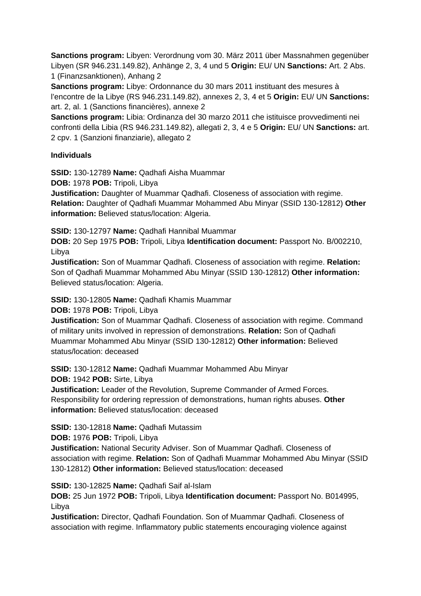**Sanctions program:** Libyen: Verordnung vom 30. März 2011 über Massnahmen gegenüber Libyen (SR 946.231.149.82), Anhänge 2, 3, 4 und 5 **Origin:** EU/ UN **Sanctions:** Art. 2 Abs. 1 (Finanzsanktionen), Anhang 2

**Sanctions program:** Libye: Ordonnance du 30 mars 2011 instituant des mesures à l'encontre de la Libye (RS 946.231.149.82), annexes 2, 3, 4 et 5 **Origin:** EU/ UN **Sanctions:** art. 2, al. 1 (Sanctions financières), annexe 2

**Sanctions program:** Libia: Ordinanza del 30 marzo 2011 che istituisce provvedimenti nei confronti della Libia (RS 946.231.149.82), allegati 2, 3, 4 e 5 **Origin:** EU/ UN **Sanctions:** art. 2 cpv. 1 (Sanzioni finanziarie), allegato 2

### **Individuals**

**SSID:** 130-12789 **Name:** Qadhafi Aisha Muammar

**DOB:** 1978 **POB:** Tripoli, Libya

**Justification:** Daughter of Muammar Qadhafi. Closeness of association with regime. **Relation:** Daughter of Qadhafi Muammar Mohammed Abu Minyar (SSID 130-12812) **Other information:** Believed status/location: Algeria.

**SSID:** 130-12797 **Name:** Qadhafi Hannibal Muammar

**DOB:** 20 Sep 1975 **POB:** Tripoli, Libya **Identification document:** Passport No. B/002210, Libya

**Justification:** Son of Muammar Qadhafi. Closeness of association with regime. **Relation:** Son of Qadhafi Muammar Mohammed Abu Minyar (SSID 130-12812) **Other information:** Believed status/location: Algeria.

## **SSID:** 130-12805 **Name:** Qadhafi Khamis Muammar

**DOB:** 1978 **POB:** Tripoli, Libya

**Justification:** Son of Muammar Qadhafi. Closeness of association with regime. Command of military units involved in repression of demonstrations. **Relation:** Son of Qadhafi Muammar Mohammed Abu Minyar (SSID 130-12812) **Other information:** Believed status/location: deceased

**SSID:** 130-12812 **Name:** Qadhafi Muammar Mohammed Abu Minyar

**DOB:** 1942 **POB:** Sirte, Libya

**Justification:** Leader of the Revolution, Supreme Commander of Armed Forces. Responsibility for ordering repression of demonstrations, human rights abuses. **Other information:** Believed status/location: deceased

**SSID:** 130-12818 **Name:** Qadhafi Mutassim

**DOB:** 1976 **POB:** Tripoli, Libya

**Justification:** National Security Adviser. Son of Muammar Qadhafi. Closeness of association with regime. **Relation:** Son of Qadhafi Muammar Mohammed Abu Minyar (SSID 130-12812) **Other information:** Believed status/location: deceased

**SSID:** 130-12825 **Name:** Qadhafi Saif al-Islam

**DOB:** 25 Jun 1972 **POB:** Tripoli, Libya **Identification document:** Passport No. B014995, Libya

**Justification:** Director, Qadhafi Foundation. Son of Muammar Qadhafi. Closeness of association with regime. Inflammatory public statements encouraging violence against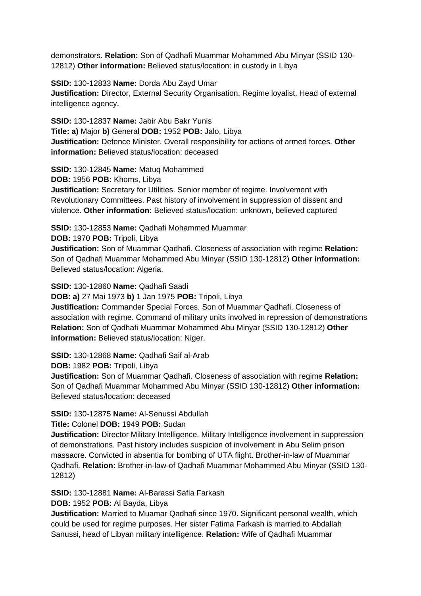demonstrators. **Relation:** Son of Qadhafi Muammar Mohammed Abu Minyar (SSID 130- 12812) **Other information:** Believed status/location: in custody in Libya

**SSID:** 130-12833 **Name:** Dorda Abu Zayd Umar **Justification:** Director, External Security Organisation. Regime loyalist. Head of external intelligence agency.

**SSID:** 130-12837 **Name:** Jabir Abu Bakr Yunis **Title: a)** Major **b)** General **DOB:** 1952 **POB:** Jalo, Libya **Justification:** Defence Minister. Overall responsibility for actions of armed forces. **Other information:** Believed status/location: deceased

**SSID:** 130-12845 **Name:** Matuq Mohammed

**DOB:** 1956 **POB:** Khoms, Libya

**Justification:** Secretary for Utilities. Senior member of regime. Involvement with Revolutionary Committees. Past history of involvement in suppression of dissent and violence. **Other information:** Believed status/location: unknown, believed captured

**SSID:** 130-12853 **Name:** Qadhafi Mohammed Muammar

**DOB:** 1970 **POB:** Tripoli, Libya

**Justification:** Son of Muammar Qadhafi. Closeness of association with regime **Relation:** Son of Qadhafi Muammar Mohammed Abu Minyar (SSID 130-12812) **Other information:** Believed status/location: Algeria.

### **SSID:** 130-12860 **Name:** Qadhafi Saadi

**DOB: a)** 27 Mai 1973 **b)** 1 Jan 1975 **POB:** Tripoli, Libya

**Justification:** Commander Special Forces. Son of Muammar Qadhafi. Closeness of association with regime. Command of military units involved in repression of demonstrations **Relation:** Son of Qadhafi Muammar Mohammed Abu Minyar (SSID 130-12812) **Other information:** Believed status/location: Niger.

**SSID:** 130-12868 **Name:** Qadhafi Saif al-Arab

**DOB:** 1982 **POB:** Tripoli, Libya

**Justification:** Son of Muammar Qadhafi. Closeness of association with regime **Relation:** Son of Qadhafi Muammar Mohammed Abu Minyar (SSID 130-12812) **Other information:** Believed status/location: deceased

## **SSID:** 130-12875 **Name:** Al-Senussi Abdullah

**Title:** Colonel **DOB:** 1949 **POB:** Sudan

**Justification:** Director Military Intelligence. Military Intelligence involvement in suppression of demonstrations. Past history includes suspicion of involvement in Abu Selim prison massacre. Convicted in absentia for bombing of UTA flight. Brother-in-law of Muammar Qadhafi. **Relation:** Brother-in-law-of Qadhafi Muammar Mohammed Abu Minyar (SSID 130- 12812)

**SSID:** 130-12881 **Name:** Al-Barassi Safia Farkash

**DOB:** 1952 **POB:** Al Bayda, Libya

**Justification:** Married to Muamar Qadhafi since 1970. Significant personal wealth, which could be used for regime purposes. Her sister Fatima Farkash is married to Abdallah Sanussi, head of Libyan military intelligence. **Relation:** Wife of Qadhafi Muammar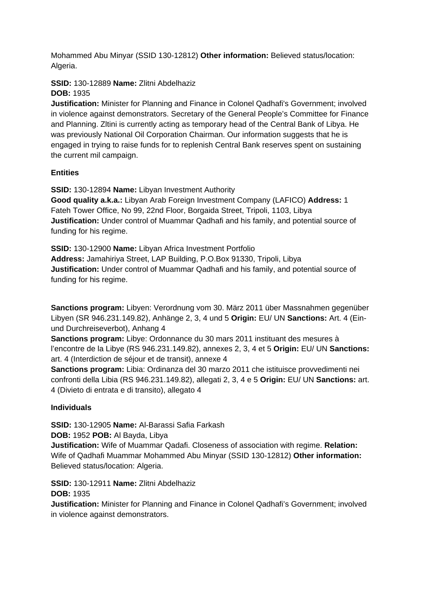Mohammed Abu Minyar (SSID 130-12812) **Other information:** Believed status/location: Algeria.

#### **SSID:** 130-12889 **Name:** Zlitni Abdelhaziz **DOB:** 1935

**Justification:** Minister for Planning and Finance in Colonel Qadhafi's Government; involved in violence against demonstrators. Secretary of the General People's Committee for Finance and Planning. Zltini is currently acting as temporary head of the Central Bank of Libya. He was previously National Oil Corporation Chairman. Our information suggests that he is engaged in trying to raise funds for to replenish Central Bank reserves spent on sustaining the current mil campaign.

# **Entities**

**SSID:** 130-12894 **Name:** Libyan Investment Authority

**Good quality a.k.a.:** Libyan Arab Foreign Investment Company (LAFICO) **Address:** 1 Fateh Tower Office, No 99, 22nd Floor, Borgaida Street, Tripoli, 1103, Libya **Justification:** Under control of Muammar Qadhafi and his family, and potential source of funding for his regime.

**SSID:** 130-12900 **Name:** Libyan Africa Investment Portfolio

**Address:** Jamahiriya Street, LAP Building, P.O.Box 91330, Tripoli, Libya **Justification:** Under control of Muammar Qadhafi and his family, and potential source of funding for his regime.

**Sanctions program:** Libyen: Verordnung vom 30. März 2011 über Massnahmen gegenüber Libyen (SR 946.231.149.82), Anhänge 2, 3, 4 und 5 **Origin:** EU/ UN **Sanctions:** Art. 4 (Einund Durchreiseverbot), Anhang 4

**Sanctions program:** Libye: Ordonnance du 30 mars 2011 instituant des mesures à l'encontre de la Libye (RS 946.231.149.82), annexes 2, 3, 4 et 5 **Origin:** EU/ UN **Sanctions:** art. 4 (Interdiction de séjour et de transit), annexe 4

**Sanctions program:** Libia: Ordinanza del 30 marzo 2011 che istituisce provvedimenti nei confronti della Libia (RS 946.231.149.82), allegati 2, 3, 4 e 5 **Origin:** EU/ UN **Sanctions:** art. 4 (Divieto di entrata e di transito), allegato 4

## **Individuals**

**SSID:** 130-12905 **Name:** Al-Barassi Safia Farkash

**DOB:** 1952 **POB:** Al Bayda, Libya

**Justification:** Wife of Muammar Qadafi. Closeness of association with regime. **Relation:** Wife of Qadhafi Muammar Mohammed Abu Minyar (SSID 130-12812) **Other information:** Believed status/location: Algeria.

**SSID:** 130-12911 **Name:** Zlitni Abdelhaziz

**DOB:** 1935

**Justification:** Minister for Planning and Finance in Colonel Qadhafi's Government; involved in violence against demonstrators.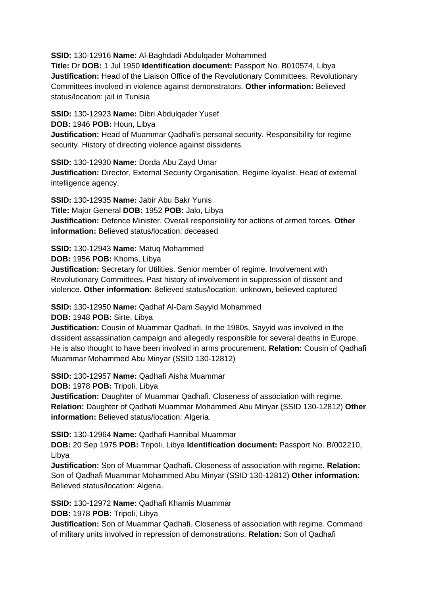**SSID:** 130-12916 **Name:** Al-Baghdadi Abdulqader Mohammed

**Title:** Dr **DOB:** 1 Jul 1950 **Identification document:** Passport No. B010574, Libya **Justification:** Head of the Liaison Office of the Revolutionary Committees. Revolutionary Committees involved in violence against demonstrators. **Other information:** Believed status/location: jail in Tunisia

**SSID:** 130-12923 **Name:** Dibri Abdulqader Yusef

**DOB:** 1946 **POB:** Houn, Libya

**Justification:** Head of Muammar Qadhafi's personal security. Responsibility for regime security. History of directing violence against dissidents.

**SSID:** 130-12930 **Name:** Dorda Abu Zayd Umar

**Justification:** Director, External Security Organisation. Regime loyalist. Head of external intelligence agency.

**SSID:** 130-12935 **Name:** Jabir Abu Bakr Yunis **Title:** Major General **DOB:** 1952 **POB:** Jalo, Libya **Justification:** Defence Minister. Overall responsibility for actions of armed forces. **Other information:** Believed status/location: deceased

**SSID:** 130-12943 **Name:** Matuq Mohammed

**DOB:** 1956 **POB:** Khoms, Libya

**Justification:** Secretary for Utilities. Senior member of regime. Involvement with Revolutionary Committees. Past history of involvement in suppression of dissent and violence. **Other information:** Believed status/location: unknown, believed captured

**SSID:** 130-12950 **Name:** Qadhaf Al-Dam Sayyid Mohammed

**DOB:** 1948 **POB:** Sirte, Libya

**Justification:** Cousin of Muammar Qadhafi. In the 1980s, Sayyid was involved in the dissident assassination campaign and allegedly responsible for several deaths in Europe. He is also thought to have been involved in arms procurement. **Relation:** Cousin of Qadhafi Muammar Mohammed Abu Minyar (SSID 130-12812)

**SSID:** 130-12957 **Name:** Qadhafi Aisha Muammar

**DOB:** 1978 **POB:** Tripoli, Libya

**Justification:** Daughter of Muammar Qadhafi. Closeness of association with regime. **Relation:** Daughter of Qadhafi Muammar Mohammed Abu Minyar (SSID 130-12812) **Other information:** Believed status/location: Algeria.

**SSID:** 130-12964 **Name:** Qadhafi Hannibal Muammar

**DOB:** 20 Sep 1975 **POB:** Tripoli, Libya **Identification document:** Passport No. B/002210, Libya

**Justification:** Son of Muammar Qadhafi. Closeness of association with regime. **Relation:** Son of Qadhafi Muammar Mohammed Abu Minyar (SSID 130-12812) **Other information:** Believed status/location: Algeria.

**SSID:** 130-12972 **Name:** Qadhafi Khamis Muammar

**DOB:** 1978 **POB:** Tripoli, Libya

**Justification:** Son of Muammar Qadhafi. Closeness of association with regime. Command of military units involved in repression of demonstrations. **Relation:** Son of Qadhafi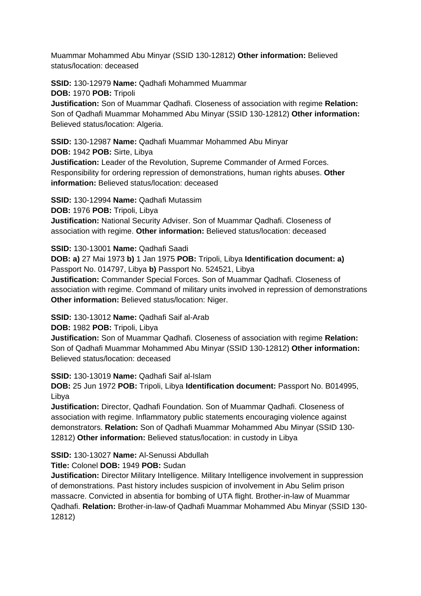Muammar Mohammed Abu Minyar (SSID 130-12812) **Other information:** Believed status/location: deceased

**SSID:** 130-12979 **Name:** Qadhafi Mohammed Muammar **DOB:** 1970 **POB:** Tripoli

**Justification:** Son of Muammar Qadhafi. Closeness of association with regime **Relation:** Son of Qadhafi Muammar Mohammed Abu Minyar (SSID 130-12812) **Other information:** Believed status/location: Algeria.

**SSID:** 130-12987 **Name:** Qadhafi Muammar Mohammed Abu Minyar **DOB:** 1942 **POB:** Sirte, Libya **Justification:** Leader of the Revolution, Supreme Commander of Armed Forces. Responsibility for ordering repression of demonstrations, human rights abuses. **Other information:** Believed status/location: deceased

**SSID:** 130-12994 **Name:** Qadhafi Mutassim

**DOB:** 1976 **POB:** Tripoli, Libya

**Justification:** National Security Adviser. Son of Muammar Qadhafi. Closeness of association with regime. **Other information:** Believed status/location: deceased

**SSID:** 130-13001 **Name:** Qadhafi Saadi

**DOB: a)** 27 Mai 1973 **b)** 1 Jan 1975 **POB:** Tripoli, Libya **Identification document: a)**  Passport No. 014797, Libya **b)** Passport No. 524521, Libya

**Justification:** Commander Special Forces. Son of Muammar Qadhafi. Closeness of association with regime. Command of military units involved in repression of demonstrations **Other information: Believed status/location: Niger.** 

**SSID:** 130-13012 **Name:** Qadhafi Saif al-Arab

**DOB:** 1982 **POB:** Tripoli, Libya

**Justification:** Son of Muammar Qadhafi. Closeness of association with regime **Relation:** Son of Qadhafi Muammar Mohammed Abu Minyar (SSID 130-12812) **Other information:** Believed status/location: deceased

**SSID:** 130-13019 **Name:** Qadhafi Saif al-Islam

**DOB:** 25 Jun 1972 **POB:** Tripoli, Libya **Identification document:** Passport No. B014995, Libya

**Justification:** Director, Qadhafi Foundation. Son of Muammar Qadhafi. Closeness of association with regime. Inflammatory public statements encouraging violence against demonstrators. **Relation:** Son of Qadhafi Muammar Mohammed Abu Minyar (SSID 130- 12812) **Other information:** Believed status/location: in custody in Libya

**SSID:** 130-13027 **Name:** Al-Senussi Abdullah

**Title:** Colonel **DOB:** 1949 **POB:** Sudan

**Justification:** Director Military Intelligence. Military Intelligence involvement in suppression of demonstrations. Past history includes suspicion of involvement in Abu Selim prison massacre. Convicted in absentia for bombing of UTA flight. Brother-in-law of Muammar Qadhafi. **Relation:** Brother-in-law-of Qadhafi Muammar Mohammed Abu Minyar (SSID 130- 12812)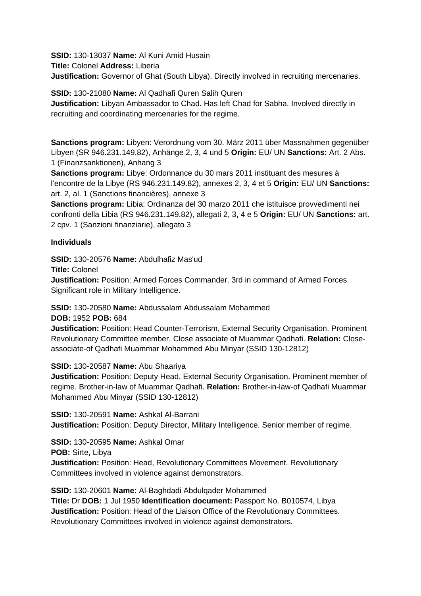**SSID:** 130-13037 **Name:** Al Kuni Amid Husain **Title:** Colonel **Address:** Liberia **Justification:** Governor of Ghat (South Libya). Directly involved in recruiting mercenaries.

**SSID:** 130-21080 **Name:** Al Qadhafi Quren Salih Quren **Justification:** Libyan Ambassador to Chad. Has left Chad for Sabha. Involved directly in recruiting and coordinating mercenaries for the regime.

**Sanctions program:** Libyen: Verordnung vom 30. März 2011 über Massnahmen gegenüber Libyen (SR 946.231.149.82), Anhänge 2, 3, 4 und 5 **Origin:** EU/ UN **Sanctions:** Art. 2 Abs. 1 (Finanzsanktionen), Anhang 3

**Sanctions program:** Libye: Ordonnance du 30 mars 2011 instituant des mesures à l'encontre de la Libye (RS 946.231.149.82), annexes 2, 3, 4 et 5 **Origin:** EU/ UN **Sanctions:** art. 2, al. 1 (Sanctions financières), annexe 3

**Sanctions program:** Libia: Ordinanza del 30 marzo 2011 che istituisce provvedimenti nei confronti della Libia (RS 946.231.149.82), allegati 2, 3, 4 e 5 **Origin:** EU/ UN **Sanctions:** art. 2 cpv. 1 (Sanzioni finanziarie), allegato 3

### **Individuals**

**SSID:** 130-20576 **Name:** Abdulhafiz Mas'ud

**Title:** Colonel

**Justification:** Position: Armed Forces Commander. 3rd in command of Armed Forces. Significant role in Military Intelligence.

**SSID:** 130-20580 **Name:** Abdussalam Abdussalam Mohammed

#### **DOB:** 1952 **POB:** 684

**Justification:** Position: Head Counter-Terrorism, External Security Organisation. Prominent Revolutionary Committee member. Close associate of Muammar Qadhafi. **Relation:** Closeassociate-of Qadhafi Muammar Mohammed Abu Minyar (SSID 130-12812)

## **SSID:** 130-20587 **Name:** Abu Shaariya

**Justification:** Position: Deputy Head, External Security Organisation. Prominent member of regime. Brother-in-law of Muammar Qadhafi. **Relation:** Brother-in-law-of Qadhafi Muammar Mohammed Abu Minyar (SSID 130-12812)

**SSID:** 130-20591 **Name:** Ashkal Al-Barrani **Justification:** Position: Deputy Director, Military Intelligence. Senior member of regime.

**SSID:** 130-20595 **Name:** Ashkal Omar

**POB:** Sirte, Libya

**Justification:** Position: Head, Revolutionary Committees Movement. Revolutionary Committees involved in violence against demonstrators.

**SSID:** 130-20601 **Name:** Al-Baghdadi Abdulqader Mohammed **Title:** Dr **DOB:** 1 Jul 1950 **Identification document:** Passport No. B010574, Libya **Justification:** Position: Head of the Liaison Office of the Revolutionary Committees. Revolutionary Committees involved in violence against demonstrators.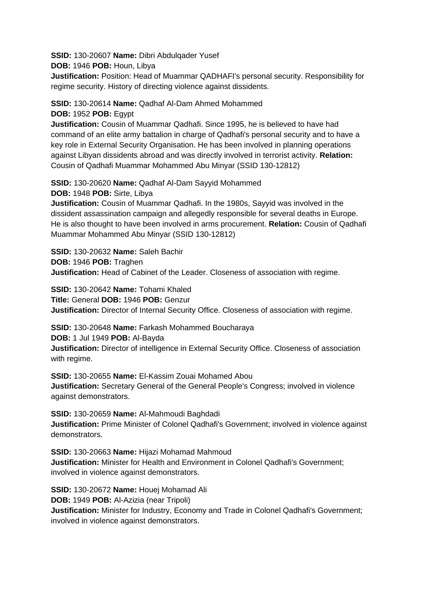**SSID:** 130-20607 **Name:** Dibri Abdulqader Yusef

**DOB:** 1946 **POB:** Houn, Libya

**Justification:** Position: Head of Muammar QADHAFI's personal security. Responsibility for regime security. History of directing violence against dissidents.

## **SSID:** 130-20614 **Name:** Qadhaf Al-Dam Ahmed Mohammed

**DOB:** 1952 **POB:** Egypt

**Justification:** Cousin of Muammar Qadhafi. Since 1995, he is believed to have had command of an elite army battalion in charge of Qadhafi's personal security and to have a key role in External Security Organisation. He has been involved in planning operations against Libyan dissidents abroad and was directly involved in terrorist activity. **Relation:** Cousin of Qadhafi Muammar Mohammed Abu Minyar (SSID 130-12812)

**SSID:** 130-20620 **Name:** Qadhaf Al-Dam Sayyid Mohammed

**DOB:** 1948 **POB:** Sirte, Libya

**Justification:** Cousin of Muammar Qadhafi. In the 1980s, Sayyid was involved in the dissident assassination campaign and allegedly responsible for several deaths in Europe. He is also thought to have been involved in arms procurement. **Relation:** Cousin of Qadhafi Muammar Mohammed Abu Minyar (SSID 130-12812)

**SSID:** 130-20632 **Name:** Saleh Bachir **DOB:** 1946 **POB:** Traghen **Justification:** Head of Cabinet of the Leader. Closeness of association with regime.

**SSID:** 130-20642 **Name:** Tohami Khaled **Title:** General **DOB:** 1946 **POB:** Genzur **Justification:** Director of Internal Security Office. Closeness of association with regime.

**SSID:** 130-20648 **Name:** Farkash Mohammed Boucharaya **DOB:** 1 Jul 1949 **POB:** Al-Bayda **Justification:** Director of intelligence in External Security Office. Closeness of association

with regime. **SSID:** 130-20655 **Name:** El-Kassim Zouai Mohamed Abou

**Justification:** Secretary General of the General People's Congress; involved in violence against demonstrators.

**SSID:** 130-20659 **Name:** Al-Mahmoudi Baghdadi **Justification:** Prime Minister of Colonel Qadhafi's Government; involved in violence against demonstrators.

**SSID:** 130-20663 **Name:** Hijazi Mohamad Mahmoud **Justification:** Minister for Health and Environment in Colonel Qadhafi's Government; involved in violence against demonstrators.

**SSID:** 130-20672 **Name:** Houej Mohamad Ali

**DOB:** 1949 **POB:** Al-Azizia (near Tripoli)

**Justification:** Minister for Industry, Economy and Trade in Colonel Qadhafi's Government; involved in violence against demonstrators.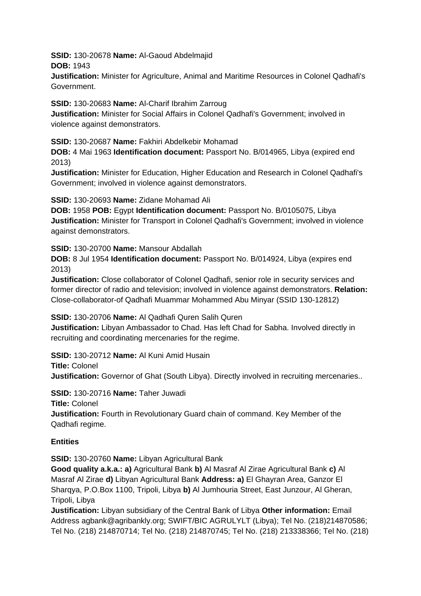**SSID:** 130-20678 **Name:** Al-Gaoud Abdelmajid **DOB:** 1943

**Justification:** Minister for Agriculture, Animal and Maritime Resources in Colonel Qadhafi's Government.

**SSID:** 130-20683 **Name:** Al-Charif Ibrahim Zarroug

**Justification:** Minister for Social Affairs in Colonel Qadhafi's Government; involved in violence against demonstrators.

### **SSID:** 130-20687 **Name:** Fakhiri Abdelkebir Mohamad

**DOB:** 4 Mai 1963 **Identification document:** Passport No. B/014965, Libya (expired end 2013)

**Justification:** Minister for Education, Higher Education and Research in Colonel Qadhafi's Government; involved in violence against demonstrators.

### **SSID:** 130-20693 **Name:** Zidane Mohamad Ali

**DOB:** 1958 **POB:** Egypt **Identification document:** Passport No. B/0105075, Libya **Justification:** Minister for Transport in Colonel Qadhafi's Government; involved in violence against demonstrators.

**SSID:** 130-20700 **Name:** Mansour Abdallah

**DOB:** 8 Jul 1954 **Identification document:** Passport No. B/014924, Libya (expires end 2013)

**Justification:** Close collaborator of Colonel Qadhafi, senior role in security services and former director of radio and television; involved in violence against demonstrators. **Relation:** Close-collaborator-of Qadhafi Muammar Mohammed Abu Minyar (SSID 130-12812)

**SSID:** 130-20706 **Name:** Al Qadhafi Quren Salih Quren

**Justification:** Libyan Ambassador to Chad. Has left Chad for Sabha. Involved directly in recruiting and coordinating mercenaries for the regime.

**SSID:** 130-20712 **Name:** Al Kuni Amid Husain

**Title:** Colonel

**Justification:** Governor of Ghat (South Libya). Directly involved in recruiting mercenaries..

**SSID:** 130-20716 **Name:** Taher Juwadi

**Title:** Colonel

**Justification:** Fourth in Revolutionary Guard chain of command. Key Member of the Qadhafi regime.

## **Entities**

**SSID:** 130-20760 **Name:** Libyan Agricultural Bank

**Good quality a.k.a.: a)** Agricultural Bank **b)** Al Masraf Al Zirae Agricultural Bank **c)** Al Masraf Al Zirae **d)** Libyan Agricultural Bank **Address: a)** El Ghayran Area, Ganzor El Sharqya, P.O.Box 1100, Tripoli, Libya **b)** Al Jumhouria Street, East Junzour, Al Gheran, Tripoli, Libya

**Justification:** Libyan subsidiary of the Central Bank of Libya **Other information:** Email Address agbank@agribankly.org; SWIFT/BIC AGRULYLT (Libya); Tel No. (218)214870586; Tel No. (218) 214870714; Tel No. (218) 214870745; Tel No. (218) 213338366; Tel No. (218)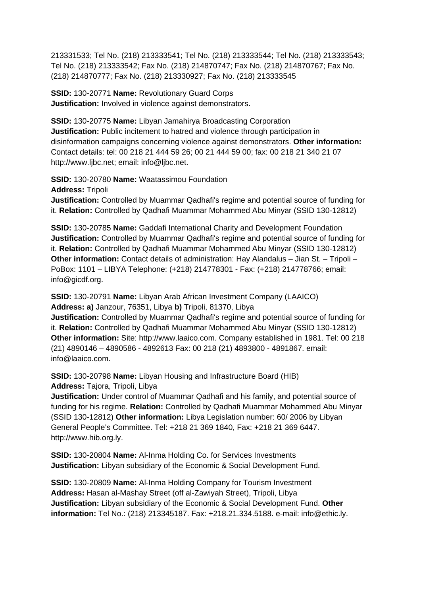213331533; Tel No. (218) 213333541; Tel No. (218) 213333544; Tel No. (218) 213333543; Tel No. (218) 213333542; Fax No. (218) 214870747; Fax No. (218) 214870767; Fax No. (218) 214870777; Fax No. (218) 213330927; Fax No. (218) 213333545

**SSID:** 130-20771 **Name:** Revolutionary Guard Corps **Justification:** Involved in violence against demonstrators.

**SSID:** 130-20775 **Name:** Libyan Jamahirya Broadcasting Corporation **Justification:** Public incitement to hatred and violence through participation in disinformation campaigns concerning violence against demonstrators. **Other information:** Contact details: tel: 00 218 21 444 59 26; 00 21 444 59 00; fax: 00 218 21 340 21 07 http://www.ljbc.net; email: info@ljbc.net.

**SSID:** 130-20780 **Name:** Waatassimou Foundation **Address:** Tripoli **Justification:** Controlled by Muammar Qadhafi's regime and potential source of funding for it. **Relation:** Controlled by Qadhafi Muammar Mohammed Abu Minyar (SSID 130-12812)

**SSID:** 130-20785 **Name:** Gaddafi International Charity and Development Foundation **Justification:** Controlled by Muammar Qadhafi's regime and potential source of funding for it. **Relation:** Controlled by Qadhafi Muammar Mohammed Abu Minyar (SSID 130-12812) **Other information:** Contact details of administration: Hay Alandalus – Jian St. – Tripoli – PoBox: 1101 – LIBYA Telephone: (+218) 214778301 - Fax: (+218) 214778766; email: info@gicdf.org.

**SSID:** 130-20791 **Name:** Libyan Arab African Investment Company (LAAICO) **Address: a)** Janzour, 76351, Libya **b)** Tripoli, 81370, Libya

**Justification:** Controlled by Muammar Qadhafi's regime and potential source of funding for it. **Relation:** Controlled by Qadhafi Muammar Mohammed Abu Minyar (SSID 130-12812) **Other information:** Site: http://www.laaico.com. Company established in 1981. Tel: 00 218 (21) 4890146 – 4890586 - 4892613 Fax: 00 218 (21) 4893800 - 4891867. email: info@laaico.com.

**SSID:** 130-20798 **Name:** Libyan Housing and Infrastructure Board (HIB) **Address:** Tajora, Tripoli, Libya

**Justification:** Under control of Muammar Qadhafi and his family, and potential source of funding for his regime. **Relation:** Controlled by Qadhafi Muammar Mohammed Abu Minyar (SSID 130-12812) **Other information:** Libya Legislation number: 60/ 2006 by Libyan General People's Committee. Tel: +218 21 369 1840, Fax: +218 21 369 6447. http://www.hib.org.ly.

**SSID:** 130-20804 **Name:** Al-Inma Holding Co. for Services Investments **Justification:** Libyan subsidiary of the Economic & Social Development Fund.

**SSID:** 130-20809 **Name:** Al-Inma Holding Company for Tourism Investment **Address:** Hasan al-Mashay Street (off al-Zawiyah Street), Tripoli, Libya **Justification:** Libyan subsidiary of the Economic & Social Development Fund. **Other information:** Tel No.: (218) 213345187. Fax: +218.21.334.5188. e-mail: info@ethic.ly.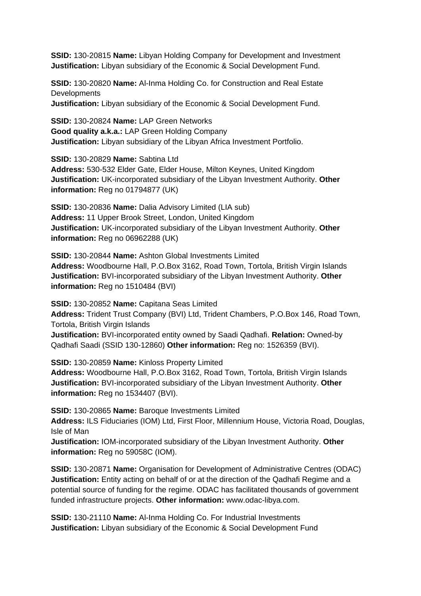**SSID:** 130-20815 **Name:** Libyan Holding Company for Development and Investment **Justification:** Libyan subsidiary of the Economic & Social Development Fund.

**SSID:** 130-20820 **Name:** Al-Inma Holding Co. for Construction and Real Estate **Developments** 

**Justification:** Libyan subsidiary of the Economic & Social Development Fund.

**SSID:** 130-20824 **Name:** LAP Green Networks **Good quality a.k.a.:** LAP Green Holding Company **Justification:** Libyan subsidiary of the Libyan Africa Investment Portfolio.

**SSID:** 130-20829 **Name:** Sabtina Ltd **Address:** 530-532 Elder Gate, Elder House, Milton Keynes, United Kingdom **Justification:** UK-incorporated subsidiary of the Libyan Investment Authority. **Other information:** Reg no 01794877 (UK)

**SSID:** 130-20836 **Name:** Dalia Advisory Limited (LIA sub) **Address:** 11 Upper Brook Street, London, United Kingdom **Justification:** UK-incorporated subsidiary of the Libyan Investment Authority. **Other information:** Reg no 06962288 (UK)

**SSID:** 130-20844 **Name:** Ashton Global Investments Limited **Address:** Woodbourne Hall, P.O.Box 3162, Road Town, Tortola, British Virgin Islands **Justification:** BVI-incorporated subsidiary of the Libyan Investment Authority. **Other information:** Reg no 1510484 (BVI)

**SSID:** 130-20852 **Name:** Capitana Seas Limited **Address:** Trident Trust Company (BVI) Ltd, Trident Chambers, P.O.Box 146, Road Town, Tortola, British Virgin Islands **Justification:** BVI-incorporated entity owned by Saadi Qadhafi. **Relation:** Owned-by Qadhafi Saadi (SSID 130-12860) **Other information:** Reg no: 1526359 (BVI).

**SSID:** 130-20859 **Name:** Kinloss Property Limited **Address:** Woodbourne Hall, P.O.Box 3162, Road Town, Tortola, British Virgin Islands **Justification:** BVI-incorporated subsidiary of the Libyan Investment Authority. **Other information:** Reg no 1534407 (BVI).

**SSID:** 130-20865 **Name:** Baroque Investments Limited

**Address:** ILS Fiduciaries (IOM) Ltd, First Floor, Millennium House, Victoria Road, Douglas, Isle of Man

**Justification:** IOM-incorporated subsidiary of the Libyan Investment Authority. **Other information:** Reg no 59058C (IOM).

**SSID:** 130-20871 **Name:** Organisation for Development of Administrative Centres (ODAC) **Justification:** Entity acting on behalf of or at the direction of the Qadhafi Regime and a potential source of funding for the regime. ODAC has facilitated thousands of government funded infrastructure projects. **Other information:** www.odac-libya.com.

**SSID:** 130-21110 **Name:** Al-Inma Holding Co. For Industrial Investments **Justification:** Libyan subsidiary of the Economic & Social Development Fund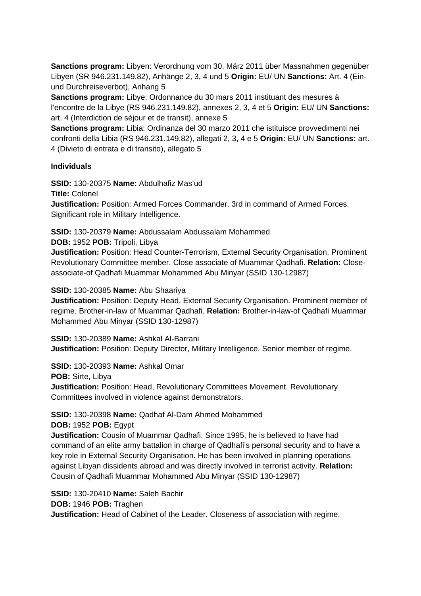**Sanctions program:** Libyen: Verordnung vom 30. März 2011 über Massnahmen gegenüber Libyen (SR 946.231.149.82), Anhänge 2, 3, 4 und 5 **Origin:** EU/ UN **Sanctions:** Art. 4 (Einund Durchreiseverbot), Anhang 5

**Sanctions program:** Libye: Ordonnance du 30 mars 2011 instituant des mesures à l'encontre de la Libye (RS 946.231.149.82), annexes 2, 3, 4 et 5 **Origin:** EU/ UN **Sanctions:** art. 4 (Interdiction de séjour et de transit), annexe 5

**Sanctions program:** Libia: Ordinanza del 30 marzo 2011 che istituisce provvedimenti nei confronti della Libia (RS 946.231.149.82), allegati 2, 3, 4 e 5 **Origin:** EU/ UN **Sanctions:** art. 4 (Divieto di entrata e di transito), allegato 5

### **Individuals**

**SSID:** 130-20375 **Name:** Abdulhafiz Mas'ud

**Title:** Colonel

**Justification:** Position: Armed Forces Commander. 3rd in command of Armed Forces. Significant role in Military Intelligence.

**SSID:** 130-20379 **Name:** Abdussalam Abdussalam Mohammed

**DOB:** 1952 **POB:** Tripoli, Libya

**Justification:** Position: Head Counter-Terrorism, External Security Organisation. Prominent Revolutionary Committee member. Close associate of Muammar Qadhafi. **Relation:** Closeassociate-of Qadhafi Muammar Mohammed Abu Minyar (SSID 130-12987)

#### **SSID:** 130-20385 **Name:** Abu Shaariya

**Justification:** Position: Deputy Head, External Security Organisation. Prominent member of regime. Brother-in-law of Muammar Qadhafi. **Relation:** Brother-in-law-of Qadhafi Muammar Mohammed Abu Minyar (SSID 130-12987)

**SSID:** 130-20389 **Name:** Ashkal Al-Barrani **Justification:** Position: Deputy Director, Military Intelligence. Senior member of regime.

**SSID:** 130-20393 **Name:** Ashkal Omar

**POB:** Sirte, Libya

**Justification:** Position: Head, Revolutionary Committees Movement. Revolutionary Committees involved in violence against demonstrators.

## **SSID:** 130-20398 **Name:** Qadhaf Al-Dam Ahmed Mohammed

**DOB:** 1952 **POB:** Egypt

**Justification:** Cousin of Muammar Qadhafi. Since 1995, he is believed to have had command of an elite army battalion in charge of Qadhafi's personal security and to have a key role in External Security Organisation. He has been involved in planning operations against Libyan dissidents abroad and was directly involved in terrorist activity. **Relation:** Cousin of Qadhafi Muammar Mohammed Abu Minyar (SSID 130-12987)

**SSID:** 130-20410 **Name:** Saleh Bachir

**DOB:** 1946 **POB:** Traghen

**Justification:** Head of Cabinet of the Leader. Closeness of association with regime.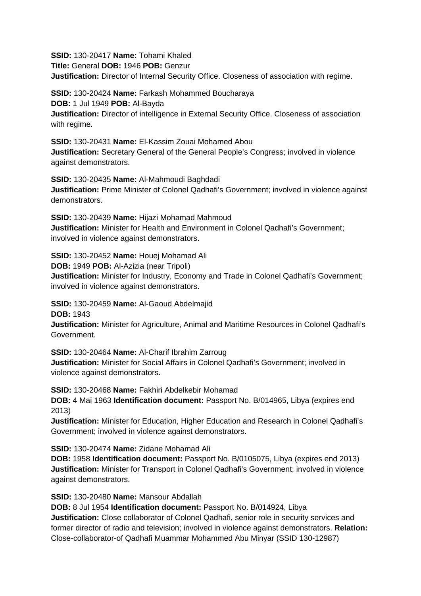**SSID:** 130-20417 **Name:** Tohami Khaled

**Title:** General **DOB:** 1946 **POB:** Genzur

**Justification:** Director of Internal Security Office. Closeness of association with regime.

**SSID:** 130-20424 **Name:** Farkash Mohammed Boucharaya **DOB:** 1 Jul 1949 **POB:** Al-Bayda **Justification:** Director of intelligence in External Security Office. Closeness of association with regime.

**SSID:** 130-20431 **Name:** El-Kassim Zouai Mohamed Abou **Justification:** Secretary General of the General People's Congress; involved in violence against demonstrators.

**SSID:** 130-20435 **Name:** Al-Mahmoudi Baghdadi **Justification:** Prime Minister of Colonel Qadhafi's Government; involved in violence against demonstrators.

**SSID:** 130-20439 **Name:** Hijazi Mohamad Mahmoud **Justification:** Minister for Health and Environment in Colonel Qadhafi's Government; involved in violence against demonstrators.

**SSID:** 130-20452 **Name:** Houej Mohamad Ali

**DOB:** 1949 **POB:** Al-Azizia (near Tripoli)

**Justification:** Minister for Industry, Economy and Trade in Colonel Qadhafi's Government; involved in violence against demonstrators.

**SSID:** 130-20459 **Name:** Al-Gaoud Abdelmajid

**DOB:** 1943

**Justification:** Minister for Agriculture, Animal and Maritime Resources in Colonel Qadhafi's Government.

**SSID:** 130-20464 **Name:** Al-Charif Ibrahim Zarroug

**Justification:** Minister for Social Affairs in Colonel Qadhafi's Government; involved in violence against demonstrators.

**SSID:** 130-20468 **Name:** Fakhiri Abdelkebir Mohamad

**DOB:** 4 Mai 1963 **Identification document:** Passport No. B/014965, Libya (expires end 2013)

**Justification:** Minister for Education, Higher Education and Research in Colonel Qadhafi's Government; involved in violence against demonstrators.

**SSID:** 130-20474 **Name:** Zidane Mohamad Ali

**DOB:** 1958 **Identification document:** Passport No. B/0105075, Libya (expires end 2013) **Justification:** Minister for Transport in Colonel Qadhafi's Government; involved in violence against demonstrators.

**SSID:** 130-20480 **Name:** Mansour Abdallah

**DOB:** 8 Jul 1954 **Identification document:** Passport No. B/014924, Libya **Justification:** Close collaborator of Colonel Qadhafi, senior role in security services and former director of radio and television; involved in violence against demonstrators. **Relation:** Close-collaborator-of Qadhafi Muammar Mohammed Abu Minyar (SSID 130-12987)